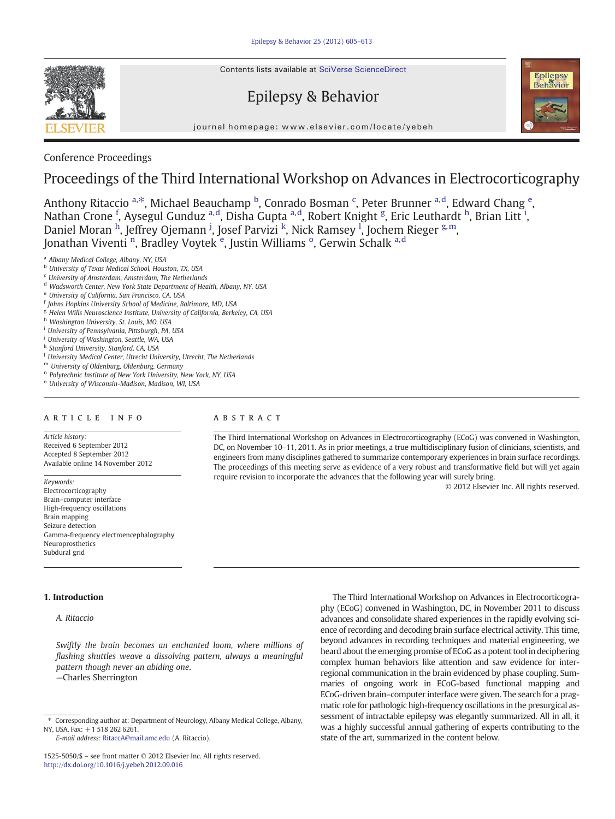Contents lists available at SciVerse ScienceDirect

Epilepsy & Behavior



journal homepage: www.elsevier.com/locate/yebeh

## Conference Proceedings

# Proceedings of the Third International Workshop on Advances in Electrocorticography

Anthony Ritaccio <sup>a,\*</sup>, Michael Beauchamp <sup>b</sup>, Conrado Bosman <sup>c</sup>, Peter Brunner <sup>a,d</sup>, Edward Chang <sup>e</sup>, Nathan Crone <sup>f</sup>, Aysegul Gunduz <sup>a,d</sup>, Disha Gupta <sup>a,d</sup>, Robert Knight <sup>g</sup>, Eric Leuthardt <sup>h</sup>, Brian Litt <sup>i</sup>, Daniel Moran <sup>h</sup>, Jeffrey Ojemann <sup>j</sup>, Josef Parvizi <sup>k</sup>, Nick Ramsey <sup>I</sup>, Jochem Rieger <sup>g,m</sup>, Jonathan Viventi <sup>n</sup>, Bradley Voytek <sup>e</sup>, Justin Williams <sup>o</sup>, Gerwin Schalk <sup>a,d</sup>

#### <sup>a</sup> Albany Medical College, Albany, NY, USA

- **b** University of Texas Medical School, Houston, TX, USA
- <sup>c</sup> University of Amsterdam, Amsterdam, The Netherlands
- <sup>d</sup> Wadsworth Center, New York State Department of Health, Albany, NY, USA
- <sup>e</sup> University of California, San Francisco, CA, USA
- <sup>f</sup> Johns Hopkins University School of Medicine, Baltimore, MD, USA
- <sup>g</sup> Helen Wills Neuroscience Institute, University of California, Berkeley, CA, USA
- h Washington University, St. Louis, MO, USA
- <sup>i</sup> University of Pennsylvania, Pittsburgh, PA, USA
- <sup>j</sup> University of Washington, Seattle, WA, USA
- <sup>k</sup> Stanford University, Stanford, CA, USA
- $<sup>1</sup>$  University Medical Center, Utrecht University, Utrecht, The Netherlands</sup>
- <sup>m</sup> University of Oldenburg, Oldenburg, Germany
- <sup>n</sup> Polytechnic Institute of New York University, New York, NY, USA
- <sup>o</sup> University of Wisconsin-Madison, Madison, WI, USA

#### article info abstract

Article history: Received 6 September 2012 Accepted 8 September 2012 Available online 14 November 2012

Keywords: Electrocorticography Brain–computer interface High-frequency oscillations Brain mapping Seizure detection Gamma-frequency electroencephalography Neuroprosthetics Subdural grid

#### 1. Introduction

#### A. Ritaccio

Swiftly the brain becomes an enchanted loom, where millions of flashing shuttles weave a dissolving pattern, always a meaningful pattern though never an abiding one. —Charles Sherrington

E-mail address: RitaccA@mail.amc.edu (A. Ritaccio).

The Third International Workshop on Advances in Electrocorticography (ECoG) was convened in Washington, DC, on November 10–11, 2011. As in prior meetings, a true multidisciplinary fusion of clinicians, scientists, and engineers from many disciplines gathered to summarize contemporary experiences in brain surface recordings. The proceedings of this meeting serve as evidence of a very robust and transformative field but will yet again require revision to incorporate the advances that the following year will surely bring.

© 2012 Elsevier Inc. All rights reserved.

The Third International Workshop on Advances in Electrocorticography (ECoG) convened in Washington, DC, in November 2011 to discuss advances and consolidate shared experiences in the rapidly evolving science of recording and decoding brain surface electrical activity. This time, beyond advances in recording techniques and material engineering, we heard about the emerging promise of ECoG as a potent tool in deciphering complex human behaviors like attention and saw evidence for interregional communication in the brain evidenced by phase coupling. Summaries of ongoing work in ECoG-based functional mapping and ECoG-driven brain–computer interface were given. The search for a pragmatic role for pathologic high-frequency oscillations in the presurgical assessment of intractable epilepsy was elegantly summarized. All in all, it was a highly successful annual gathering of experts contributing to the state of the art, summarized in the content below.

<sup>⁎</sup> Corresponding author at: Department of Neurology, Albany Medical College, Albany, NY, USA. Fax: +1 518 262 6261.

<sup>1525-5050/\$</sup> – see front matter © 2012 Elsevier Inc. All rights reserved. http://dx.doi.org/10.1016/j.yebeh.2012.09.016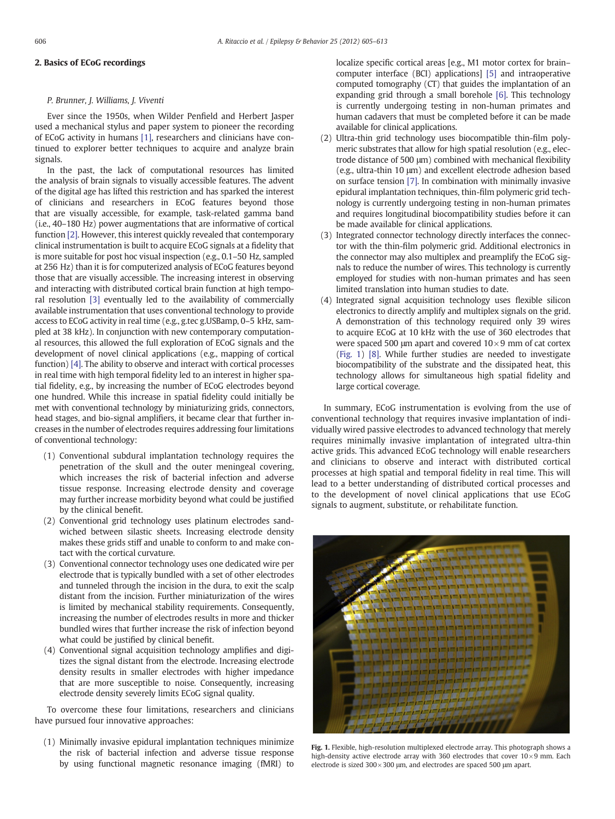### 2. Basics of ECoG recordings

#### P. Brunner, J. Williams, J. Viventi

Ever since the 1950s, when Wilder Penfield and Herbert Jasper used a mechanical stylus and paper system to pioneer the recording of ECoG activity in humans [1], researchers and clinicians have continued to explorer better techniques to acquire and analyze brain signals.

In the past, the lack of computational resources has limited the analysis of brain signals to visually accessible features. The advent of the digital age has lifted this restriction and has sparked the interest of clinicians and researchers in ECoG features beyond those that are visually accessible, for example, task-related gamma band (i.e., 40–180 Hz) power augmentations that are informative of cortical function [2]. However, this interest quickly revealed that contemporary clinical instrumentation is built to acquire ECoG signals at a fidelity that is more suitable for post hoc visual inspection (e.g., 0.1–50 Hz, sampled at 256 Hz) than it is for computerized analysis of ECoG features beyond those that are visually accessible. The increasing interest in observing and interacting with distributed cortical brain function at high temporal resolution [3] eventually led to the availability of commercially available instrumentation that uses conventional technology to provide access to ECoG activity in real time (e.g., g.tec g.USBamp, 0–5 kHz, sampled at 38 kHz). In conjunction with new contemporary computational resources, this allowed the full exploration of ECoG signals and the development of novel clinical applications (e.g., mapping of cortical function) [4]. The ability to observe and interact with cortical processes in real time with high temporal fidelity led to an interest in higher spatial fidelity, e.g., by increasing the number of ECoG electrodes beyond one hundred. While this increase in spatial fidelity could initially be met with conventional technology by miniaturizing grids, connectors, head stages, and bio-signal amplifiers, it became clear that further increases in the number of electrodes requires addressing four limitations of conventional technology:

- (1) Conventional subdural implantation technology requires the penetration of the skull and the outer meningeal covering, which increases the risk of bacterial infection and adverse tissue response. Increasing electrode density and coverage may further increase morbidity beyond what could be justified by the clinical benefit.
- (2) Conventional grid technology uses platinum electrodes sandwiched between silastic sheets. Increasing electrode density makes these grids stiff and unable to conform to and make contact with the cortical curvature.
- (3) Conventional connector technology uses one dedicated wire per electrode that is typically bundled with a set of other electrodes and tunneled through the incision in the dura, to exit the scalp distant from the incision. Further miniaturization of the wires is limited by mechanical stability requirements. Consequently, increasing the number of electrodes results in more and thicker bundled wires that further increase the risk of infection beyond what could be justified by clinical benefit.
- (4) Conventional signal acquisition technology amplifies and digitizes the signal distant from the electrode. Increasing electrode density results in smaller electrodes with higher impedance that are more susceptible to noise. Consequently, increasing electrode density severely limits ECoG signal quality.

To overcome these four limitations, researchers and clinicians have pursued four innovative approaches:

(1) Minimally invasive epidural implantation techniques minimize the risk of bacterial infection and adverse tissue response by using functional magnetic resonance imaging (fMRI) to localize specific cortical areas [e.g., M1 motor cortex for brain– computer interface (BCI) applications] [5] and intraoperative computed tomography (CT) that guides the implantation of an expanding grid through a small borehole [6]. This technology is currently undergoing testing in non-human primates and human cadavers that must be completed before it can be made available for clinical applications.

- (2) Ultra-thin grid technology uses biocompatible thin-film polymeric substrates that allow for high spatial resolution (e.g., electrode distance of 500 μm) combined with mechanical flexibility (e.g., ultra-thin 10 μm) and excellent electrode adhesion based on surface tension [7]. In combination with minimally invasive epidural implantation techniques, thin-film polymeric grid technology is currently undergoing testing in non-human primates and requires longitudinal biocompatibility studies before it can be made available for clinical applications.
- (3) Integrated connector technology directly interfaces the connector with the thin-film polymeric grid. Additional electronics in the connector may also multiplex and preamplify the ECoG signals to reduce the number of wires. This technology is currently employed for studies with non-human primates and has seen limited translation into human studies to date.
- (4) Integrated signal acquisition technology uses flexible silicon electronics to directly amplify and multiplex signals on the grid. A demonstration of this technology required only 39 wires to acquire ECoG at 10 kHz with the use of 360 electrodes that were spaced 500  $\mu$ m apart and covered 10 $\times$ 9 mm of cat cortex (Fig. 1) [8]. While further studies are needed to investigate biocompatibility of the substrate and the dissipated heat, this technology allows for simultaneous high spatial fidelity and large cortical coverage.

In summary, ECoG instrumentation is evolving from the use of conventional technology that requires invasive implantation of individually wired passive electrodes to advanced technology that merely requires minimally invasive implantation of integrated ultra-thin active grids. This advanced ECoG technology will enable researchers and clinicians to observe and interact with distributed cortical processes at high spatial and temporal fidelity in real time. This will lead to a better understanding of distributed cortical processes and to the development of novel clinical applications that use ECoG signals to augment, substitute, or rehabilitate function.



Fig. 1. Flexible, high-resolution multiplexed electrode array. This photograph shows a high-density active electrode array with 360 electrodes that cover 10×9 mm. Each electrode is sized  $300 \times 300$  μm, and electrodes are spaced 500 μm apart.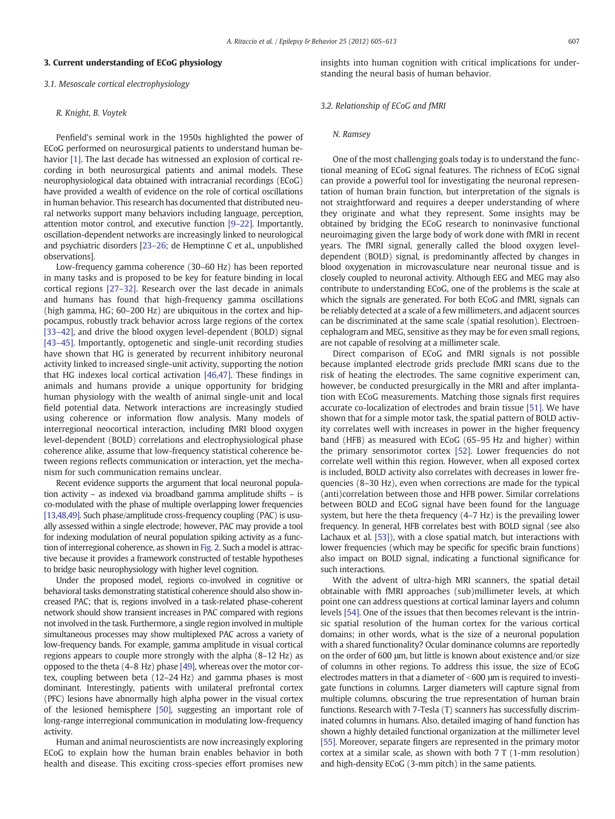### 3. Current understanding of ECoG physiology

#### 3.1. Mesoscale cortical electrophysiology

#### R. Knight, B. Voytek

Penfield's seminal work in the 1950s highlighted the power of ECoG performed on neurosurgical patients to understand human behavior [1]. The last decade has witnessed an explosion of cortical recording in both neurosurgical patients and animal models. These neurophysiological data obtained with intracranial recordings (ECoG) have provided a wealth of evidence on the role of cortical oscillations in human behavior. This research has documented that distributed neural networks support many behaviors including language, perception, attention motor control, and executive function [9–22]. Importantly, oscillation-dependent networks are increasingly linked to neurological and psychiatric disorders [23–26; de Hemptinne C et al., unpublished observations].

Low-frequency gamma coherence (30–60 Hz) has been reported in many tasks and is proposed to be key for feature binding in local cortical regions [27–32]. Research over the last decade in animals and humans has found that high-frequency gamma oscillations (high gamma, HG; 60–200 Hz) are ubiquitous in the cortex and hippocampus, robustly track behavior across large regions of the cortex [33-42], and drive the blood oxygen level-dependent (BOLD) signal [43–45]. Importantly, optogenetic and single-unit recording studies have shown that HG is generated by recurrent inhibitory neuronal activity linked to increased single-unit activity, supporting the notion that HG indexes local cortical activation [46,47]. These findings in animals and humans provide a unique opportunity for bridging human physiology with the wealth of animal single-unit and local field potential data. Network interactions are increasingly studied using coherence or information flow analysis. Many models of interregional neocortical interaction, including fMRI blood oxygen level-dependent (BOLD) correlations and electrophysiological phase coherence alike, assume that low-frequency statistical coherence between regions reflects communication or interaction, yet the mechanism for such communication remains unclear.

Recent evidence supports the argument that local neuronal population activity – as indexed via broadband gamma amplitude shifts – is co-modulated with the phase of multiple overlapping lower frequencies [13,48,49]. Such phase/amplitude cross-frequency coupling (PAC) is usually assessed within a single electrode; however, PAC may provide a tool for indexing modulation of neural population spiking activity as a function of interregional coherence, as shown in Fig. 2. Such a model is attractive because it provides a framework constructed of testable hypotheses to bridge basic neurophysiology with higher level cognition.

Under the proposed model, regions co-involved in cognitive or behavioral tasks demonstrating statistical coherence should also show increased PAC; that is, regions involved in a task-related phase-coherent network should show transient increases in PAC compared with regions not involved in the task. Furthermore, a single region involved in multiple simultaneous processes may show multiplexed PAC across a variety of low-frequency bands. For example, gamma amplitude in visual cortical regions appears to couple more strongly with the alpha (8–12 Hz) as opposed to the theta (4–8 Hz) phase [49], whereas over the motor cortex, coupling between beta (12–24 Hz) and gamma phases is most dominant. Interestingly, patients with unilateral prefrontal cortex (PFC) lesions have abnormally high alpha power in the visual cortex of the lesioned hemisphere [50], suggesting an important role of long-range interregional communication in modulating low-frequency activity.

Human and animal neuroscientists are now increasingly exploring ECoG to explain how the human brain enables behavior in both health and disease. This exciting cross-species effort promises new insights into human cognition with critical implications for understanding the neural basis of human behavior.

#### 3.2. Relationship of ECoG and fMRI

#### N. Ramsey

One of the most challenging goals today is to understand the functional meaning of ECoG signal features. The richness of ECoG signal can provide a powerful tool for investigating the neuronal representation of human brain function, but interpretation of the signals is not straightforward and requires a deeper understanding of where they originate and what they represent. Some insights may be obtained by bridging the ECoG research to noninvasive functional neuroimaging given the large body of work done with fMRI in recent years. The fMRI signal, generally called the blood oxygen leveldependent (BOLD) signal, is predominantly affected by changes in blood oxygenation in microvasculature near neuronal tissue and is closely coupled to neuronal activity. Although EEG and MEG may also contribute to understanding ECoG, one of the problems is the scale at which the signals are generated. For both ECoG and fMRI, signals can be reliably detected at a scale of a few millimeters, and adjacent sources can be discriminated at the same scale (spatial resolution). Electroencephalogram and MEG, sensitive as they may be for even small regions, are not capable of resolving at a millimeter scale.

Direct comparison of ECoG and fMRI signals is not possible because implanted electrode grids preclude fMRI scans due to the risk of heating the electrodes. The same cognitive experiment can, however, be conducted presurgically in the MRI and after implantation with ECoG measurements. Matching those signals first requires accurate co-localization of electrodes and brain tissue [51]. We have shown that for a simple motor task, the spatial pattern of BOLD activity correlates well with increases in power in the higher frequency band (HFB) as measured with ECoG (65–95 Hz and higher) within the primary sensorimotor cortex [52]. Lower frequencies do not correlate well within this region. However, when all exposed cortex is included, BOLD activity also correlates with decreases in lower frequencies (8–30 Hz), even when corrections are made for the typical (anti)correlation between those and HFB power. Similar correlations between BOLD and ECoG signal have been found for the language system, but here the theta frequency (4–7 Hz) is the prevailing lower frequency. In general, HFB correlates best with BOLD signal (see also Lachaux et al. [53]), with a close spatial match, but interactions with lower frequencies (which may be specific for specific brain functions) also impact on BOLD signal, indicating a functional significance for such interactions.

With the advent of ultra-high MRI scanners, the spatial detail obtainable with fMRI approaches (sub)millimeter levels, at which point one can address questions at cortical laminar layers and column levels [54]. One of the issues that then becomes relevant is the intrinsic spatial resolution of the human cortex for the various cortical domains; in other words, what is the size of a neuronal population with a shared functionality? Ocular dominance columns are reportedly on the order of 600 μm, but little is known about existence and/or size of columns in other regions. To address this issue, the size of ECoG electrodes matters in that a diameter of  $<$  600  $\mu$ m is required to investigate functions in columns. Larger diameters will capture signal from multiple columns, obscuring the true representation of human brain functions. Research with 7-Tesla (T) scanners has successfully discriminated columns in humans. Also, detailed imaging of hand function has shown a highly detailed functional organization at the millimeter level [55]. Moreover, separate fingers are represented in the primary motor cortex at a similar scale, as shown with both 7 T (1-mm resolution) and high-density ECoG (3-mm pitch) in the same patients.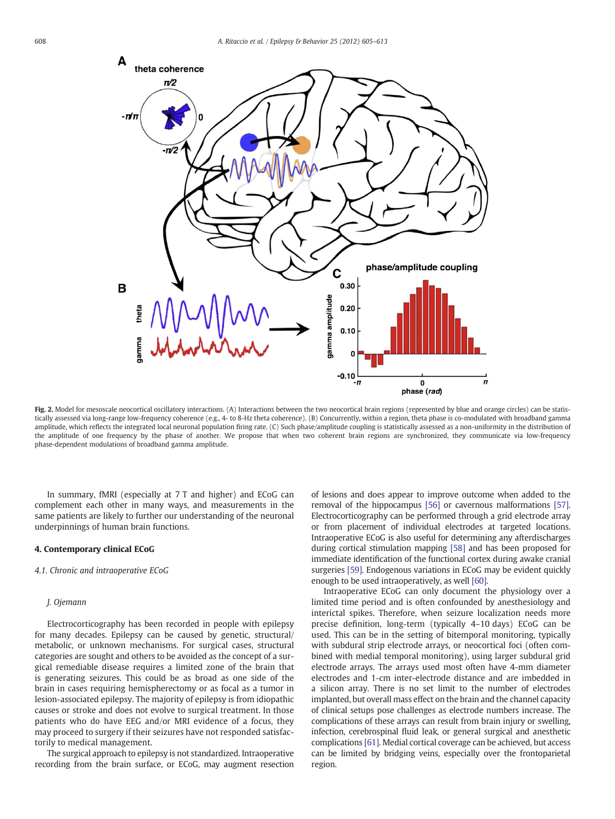

Fig. 2. Model for mesoscale neocortical oscillatory interactions. (A) Interactions between the two neocortical brain regions (represented by blue and orange circles) can be statistically assessed via long-range low-frequency coherence (e.g., 4- to 8-Hz theta coherence). (B) Concurrently, within a region, theta phase is co-modulated with broadband gamma amplitude, which reflects the integrated local neuronal population firing rate. (C) Such phase/amplitude coupling is statistically assessed as a non-uniformity in the distribution of the amplitude of one frequency by the phase of another. We propose that when two coherent brain regions are synchronized, they communicate via low-frequency phase-dependent modulations of broadband gamma amplitude.

In summary, fMRI (especially at 7 T and higher) and ECoG can complement each other in many ways, and measurements in the same patients are likely to further our understanding of the neuronal underpinnings of human brain functions.

#### 4. Contemporary clinical ECoG

#### 4.1. Chronic and intraoperative ECoG

#### J. Ojemann

Electrocorticography has been recorded in people with epilepsy for many decades. Epilepsy can be caused by genetic, structural/ metabolic, or unknown mechanisms. For surgical cases, structural categories are sought and others to be avoided as the concept of a surgical remediable disease requires a limited zone of the brain that is generating seizures. This could be as broad as one side of the brain in cases requiring hemispherectomy or as focal as a tumor in lesion-associated epilepsy. The majority of epilepsy is from idiopathic causes or stroke and does not evolve to surgical treatment. In those patients who do have EEG and/or MRI evidence of a focus, they may proceed to surgery if their seizures have not responded satisfactorily to medical management.

The surgical approach to epilepsy is not standardized. Intraoperative recording from the brain surface, or ECoG, may augment resection of lesions and does appear to improve outcome when added to the removal of the hippocampus [56] or cavernous malformations [57]. Electrocorticography can be performed through a grid electrode array or from placement of individual electrodes at targeted locations. Intraoperative ECoG is also useful for determining any afterdischarges during cortical stimulation mapping [58] and has been proposed for immediate identification of the functional cortex during awake cranial surgeries [59]. Endogenous variations in ECoG may be evident quickly enough to be used intraoperatively, as well [60].

Intraoperative ECoG can only document the physiology over a limited time period and is often confounded by anesthesiology and interictal spikes. Therefore, when seizure localization needs more precise definition, long-term (typically 4–10 days) ECoG can be used. This can be in the setting of bitemporal monitoring, typically with subdural strip electrode arrays, or neocortical foci (often combined with medial temporal monitoring), using larger subdural grid electrode arrays. The arrays used most often have 4-mm diameter electrodes and 1-cm inter-electrode distance and are imbedded in a silicon array. There is no set limit to the number of electrodes implanted, but overall mass effect on the brain and the channel capacity of clinical setups pose challenges as electrode numbers increase. The complications of these arrays can result from brain injury or swelling, infection, cerebrospinal fluid leak, or general surgical and anesthetic complications [61]. Medial cortical coverage can be achieved, but access can be limited by bridging veins, especially over the frontoparietal region.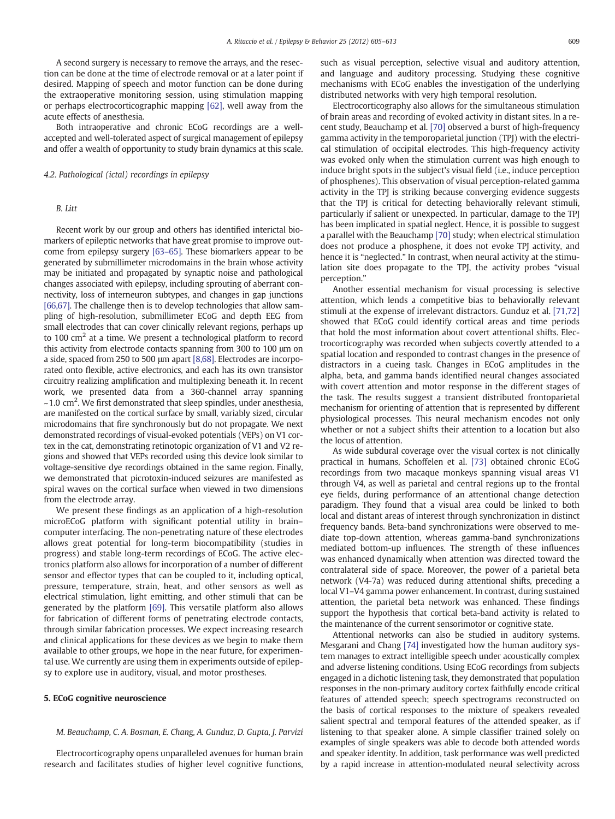A second surgery is necessary to remove the arrays, and the resection can be done at the time of electrode removal or at a later point if desired. Mapping of speech and motor function can be done during the extraoperative monitoring session, using stimulation mapping or perhaps electrocorticographic mapping [62], well away from the acute effects of anesthesia.

Both intraoperative and chronic ECoG recordings are a wellaccepted and well-tolerated aspect of surgical management of epilepsy and offer a wealth of opportunity to study brain dynamics at this scale.

#### 4.2. Pathological (ictal) recordings in epilepsy

### B. Litt

Recent work by our group and others has identified interictal biomarkers of epileptic networks that have great promise to improve outcome from epilepsy surgery [63–65]. These biomarkers appear to be generated by submillimeter microdomains in the brain whose activity may be initiated and propagated by synaptic noise and pathological changes associated with epilepsy, including sprouting of aberrant connectivity, loss of interneuron subtypes, and changes in gap junctions [66,67]. The challenge then is to develop technologies that allow sampling of high-resolution, submillimeter ECoG and depth EEG from small electrodes that can cover clinically relevant regions, perhaps up to 100 cm<sup>2</sup> at a time. We present a technological platform to record this activity from electrode contacts spanning from 300 to 100 μm on a side, spaced from 250 to 500 μm apart [8,68]. Electrodes are incorporated onto flexible, active electronics, and each has its own transistor circuitry realizing amplification and multiplexing beneath it. In recent work, we presented data from a 360-channel array spanning  $\sim$ 1.0 cm<sup>2</sup>. We first demonstrated that sleep spindles, under anesthesia, are manifested on the cortical surface by small, variably sized, circular microdomains that fire synchronously but do not propagate. We next demonstrated recordings of visual-evoked potentials (VEPs) on V1 cortex in the cat, demonstrating retinotopic organization of V1 and V2 regions and showed that VEPs recorded using this device look similar to voltage-sensitive dye recordings obtained in the same region. Finally, we demonstrated that picrotoxin-induced seizures are manifested as spiral waves on the cortical surface when viewed in two dimensions from the electrode array.

We present these findings as an application of a high-resolution microECoG platform with significant potential utility in brain– computer interfacing. The non-penetrating nature of these electrodes allows great potential for long-term biocompatibility (studies in progress) and stable long-term recordings of ECoG. The active electronics platform also allows for incorporation of a number of different sensor and effector types that can be coupled to it, including optical, pressure, temperature, strain, heat, and other sensors as well as electrical stimulation, light emitting, and other stimuli that can be generated by the platform [69]. This versatile platform also allows for fabrication of different forms of penetrating electrode contacts, through similar fabrication processes. We expect increasing research and clinical applications for these devices as we begin to make them available to other groups, we hope in the near future, for experimental use. We currently are using them in experiments outside of epilepsy to explore use in auditory, visual, and motor prostheses.

#### 5. ECoG cognitive neuroscience

### M. Beauchamp, C. A. Bosman, E. Chang, A. Gunduz, D. Gupta, J. Parvizi

Electrocorticography opens unparalleled avenues for human brain research and facilitates studies of higher level cognitive functions, such as visual perception, selective visual and auditory attention, and language and auditory processing. Studying these cognitive mechanisms with ECoG enables the investigation of the underlying distributed networks with very high temporal resolution.

Electrocorticography also allows for the simultaneous stimulation of brain areas and recording of evoked activity in distant sites. In a recent study, Beauchamp et al. [70] observed a burst of high-frequency gamma activity in the temporoparietal junction (TPJ) with the electrical stimulation of occipital electrodes. This high-frequency activity was evoked only when the stimulation current was high enough to induce bright spots in the subject's visual field (i.e., induce perception of phosphenes). This observation of visual perception-related gamma activity in the TPJ is striking because converging evidence suggests that the TPJ is critical for detecting behaviorally relevant stimuli, particularly if salient or unexpected. In particular, damage to the TPJ has been implicated in spatial neglect. Hence, it is possible to suggest a parallel with the Beauchamp [70] study; when electrical stimulation does not produce a phosphene, it does not evoke TPJ activity, and hence it is "neglected." In contrast, when neural activity at the stimulation site does propagate to the TPJ, the activity probes "visual perception."

Another essential mechanism for visual processing is selective attention, which lends a competitive bias to behaviorally relevant stimuli at the expense of irrelevant distractors. Gunduz et al. [71,72] showed that ECoG could identify cortical areas and time periods that hold the most information about covert attentional shifts. Electrocorticography was recorded when subjects covertly attended to a spatial location and responded to contrast changes in the presence of distractors in a cueing task. Changes in ECoG amplitudes in the alpha, beta, and gamma bands identified neural changes associated with covert attention and motor response in the different stages of the task. The results suggest a transient distributed frontoparietal mechanism for orienting of attention that is represented by different physiological processes. This neural mechanism encodes not only whether or not a subject shifts their attention to a location but also the locus of attention.

As wide subdural coverage over the visual cortex is not clinically practical in humans, Schoffelen et al. [73] obtained chronic ECoG recordings from two macaque monkeys spanning visual areas V1 through V4, as well as parietal and central regions up to the frontal eye fields, during performance of an attentional change detection paradigm. They found that a visual area could be linked to both local and distant areas of interest through synchronization in distinct frequency bands. Beta-band synchronizations were observed to mediate top-down attention, whereas gamma-band synchronizations mediated bottom-up influences. The strength of these influences was enhanced dynamically when attention was directed toward the contralateral side of space. Moreover, the power of a parietal beta network (V4-7a) was reduced during attentional shifts, preceding a local V1–V4 gamma power enhancement. In contrast, during sustained attention, the parietal beta network was enhanced. These findings support the hypothesis that cortical beta-band activity is related to the maintenance of the current sensorimotor or cognitive state.

Attentional networks can also be studied in auditory systems. Mesgarani and Chang [74] investigated how the human auditory system manages to extract intelligible speech under acoustically complex and adverse listening conditions. Using ECoG recordings from subjects engaged in a dichotic listening task, they demonstrated that population responses in the non-primary auditory cortex faithfully encode critical features of attended speech; speech spectrograms reconstructed on the basis of cortical responses to the mixture of speakers revealed salient spectral and temporal features of the attended speaker, as if listening to that speaker alone. A simple classifier trained solely on examples of single speakers was able to decode both attended words and speaker identity. In addition, task performance was well predicted by a rapid increase in attention-modulated neural selectivity across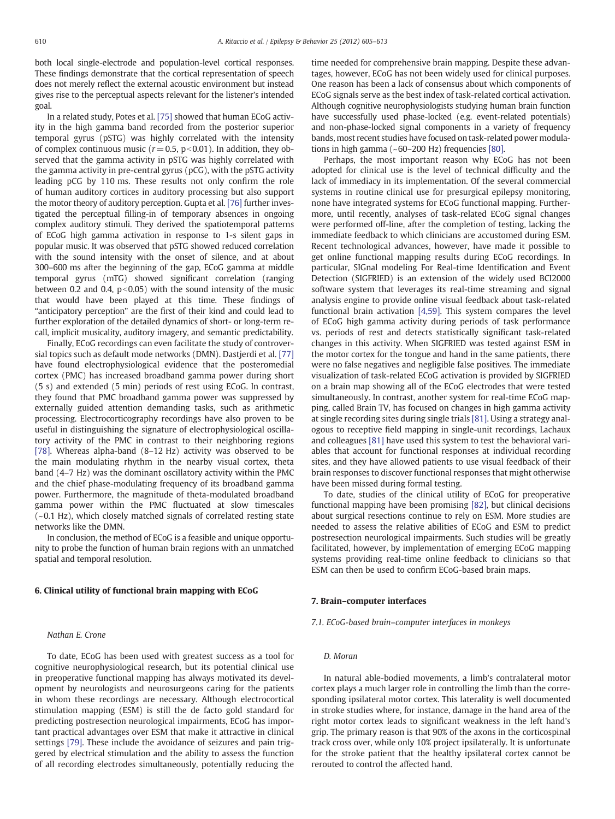both local single-electrode and population-level cortical responses. These findings demonstrate that the cortical representation of speech does not merely reflect the external acoustic environment but instead gives rise to the perceptual aspects relevant for the listener's intended goal.

In a related study, Potes et al. [75] showed that human ECoG activity in the high gamma band recorded from the posterior superior temporal gyrus (pSTG) was highly correlated with the intensity of complex continuous music ( $r=0.5$ ,  $p<0.01$ ). In addition, they observed that the gamma activity in pSTG was highly correlated with the gamma activity in pre-central gyrus (pCG), with the pSTG activity leading pCG by 110 ms. These results not only confirm the role of human auditory cortices in auditory processing but also support the motor theory of auditory perception. Gupta et al. [76] further investigated the perceptual filling-in of temporary absences in ongoing complex auditory stimuli. They derived the spatiotemporal patterns of ECoG high gamma activation in response to 1-s silent gaps in popular music. It was observed that pSTG showed reduced correlation with the sound intensity with the onset of silence, and at about 300–600 ms after the beginning of the gap, ECoG gamma at middle temporal gyrus (mTG) showed significant correlation (ranging between 0.2 and 0.4,  $p<0.05$ ) with the sound intensity of the music that would have been played at this time. These findings of "anticipatory perception" are the first of their kind and could lead to further exploration of the detailed dynamics of short- or long-term recall, implicit musicality, auditory imagery, and semantic predictability.

Finally, ECoG recordings can even facilitate the study of controversial topics such as default mode networks (DMN). Dastjerdi et al. [77] have found electrophysiological evidence that the posteromedial cortex (PMC) has increased broadband gamma power during short (5 s) and extended (5 min) periods of rest using ECoG. In contrast, they found that PMC broadband gamma power was suppressed by externally guided attention demanding tasks, such as arithmetic processing. Electrocorticography recordings have also proven to be useful in distinguishing the signature of electrophysiological oscillatory activity of the PMC in contrast to their neighboring regions [78]. Whereas alpha-band (8–12 Hz) activity was observed to be the main modulating rhythm in the nearby visual cortex, theta band (4–7 Hz) was the dominant oscillatory activity within the PMC and the chief phase-modulating frequency of its broadband gamma power. Furthermore, the magnitude of theta-modulated broadband gamma power within the PMC fluctuated at slow timescales (~0.1 Hz), which closely matched signals of correlated resting state networks like the DMN.

In conclusion, the method of ECoG is a feasible and unique opportunity to probe the function of human brain regions with an unmatched spatial and temporal resolution.

#### 6. Clinical utility of functional brain mapping with ECoG

#### Nathan E. Crone

To date, ECoG has been used with greatest success as a tool for cognitive neurophysiological research, but its potential clinical use in preoperative functional mapping has always motivated its development by neurologists and neurosurgeons caring for the patients in whom these recordings are necessary. Although electrocortical stimulation mapping (ESM) is still the de facto gold standard for predicting postresection neurological impairments, ECoG has important practical advantages over ESM that make it attractive in clinical settings [79]. These include the avoidance of seizures and pain triggered by electrical stimulation and the ability to assess the function of all recording electrodes simultaneously, potentially reducing the time needed for comprehensive brain mapping. Despite these advantages, however, ECoG has not been widely used for clinical purposes. One reason has been a lack of consensus about which components of ECoG signals serve as the best index of task-related cortical activation. Although cognitive neurophysiologists studying human brain function have successfully used phase-locked (e.g. event-related potentials) and non-phase-locked signal components in a variety of frequency bands, most recent studies have focused on task-related power modulations in high gamma (~60–200 Hz) frequencies [80].

Perhaps, the most important reason why ECoG has not been adopted for clinical use is the level of technical difficulty and the lack of immediacy in its implementation. Of the several commercial systems in routine clinical use for presurgical epilepsy monitoring, none have integrated systems for ECoG functional mapping. Furthermore, until recently, analyses of task-related ECoG signal changes were performed off-line, after the completion of testing, lacking the immediate feedback to which clinicians are accustomed during ESM. Recent technological advances, however, have made it possible to get online functional mapping results during ECoG recordings. In particular, SIGnal modeling For Real-time Identification and Event Detection (SIGFRIED) is an extension of the widely used BCI2000 software system that leverages its real-time streaming and signal analysis engine to provide online visual feedback about task-related functional brain activation [4,59]. This system compares the level of ECoG high gamma activity during periods of task performance vs. periods of rest and detects statistically significant task-related changes in this activity. When SIGFRIED was tested against ESM in the motor cortex for the tongue and hand in the same patients, there were no false negatives and negligible false positives. The immediate visualization of task-related ECoG activation is provided by SIGFRIED on a brain map showing all of the ECoG electrodes that were tested simultaneously. In contrast, another system for real-time ECoG mapping, called Brain TV, has focused on changes in high gamma activity at single recording sites during single trials [81]. Using a strategy analogous to receptive field mapping in single-unit recordings, Lachaux and colleagues [81] have used this system to test the behavioral variables that account for functional responses at individual recording sites, and they have allowed patients to use visual feedback of their brain responses to discover functional responses that might otherwise have been missed during formal testing.

To date, studies of the clinical utility of ECoG for preoperative functional mapping have been promising [82], but clinical decisions about surgical resections continue to rely on ESM. More studies are needed to assess the relative abilities of ECoG and ESM to predict postresection neurological impairments. Such studies will be greatly facilitated, however, by implementation of emerging ECoG mapping systems providing real-time online feedback to clinicians so that ESM can then be used to confirm ECoG-based brain maps.

#### 7. Brain–computer interfaces

7.1. ECoG-based brain–computer interfaces in monkeys

#### D. Moran

In natural able-bodied movements, a limb's contralateral motor cortex plays a much larger role in controlling the limb than the corresponding ipsilateral motor cortex. This laterality is well documented in stroke studies where, for instance, damage in the hand area of the right motor cortex leads to significant weakness in the left hand's grip. The primary reason is that 90% of the axons in the corticospinal track cross over, while only 10% project ipsilaterally. It is unfortunate for the stroke patient that the healthy ipsilateral cortex cannot be rerouted to control the affected hand.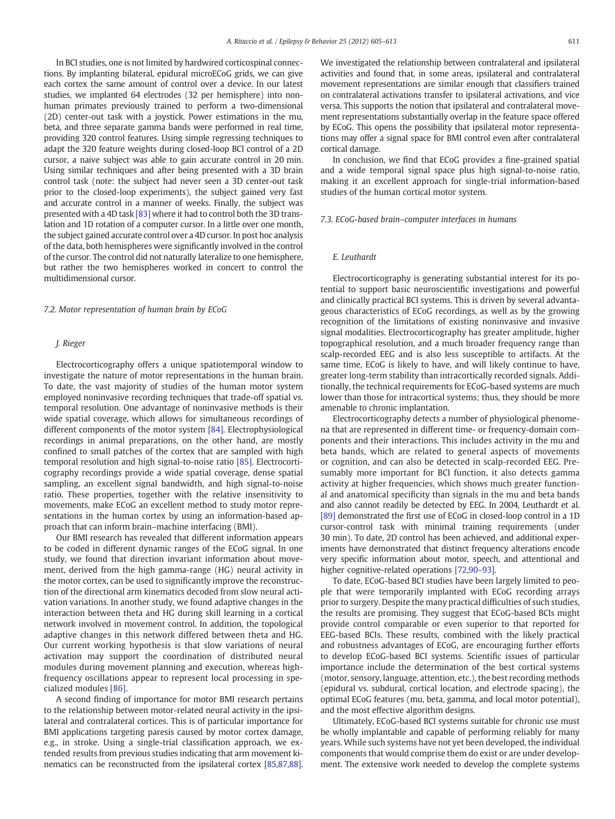In BCI studies, one is not limited by hardwired corticospinal connections. By implanting bilateral, epidural microECoG grids, we can give each cortex the same amount of control over a device. In our latest studies, we implanted 64 electrodes (32 per hemisphere) into nonhuman primates previously trained to perform a two-dimensional (2D) center-out task with a joystick. Power estimations in the mu, beta, and three separate gamma bands were performed in real time, providing 320 control features. Using simple regressing techniques to adapt the 320 feature weights during closed-loop BCI control of a 2D cursor, a naive subject was able to gain accurate control in 20 min. Using similar techniques and after being presented with a 3D brain control task (note: the subject had never seen a 3D center-out task prior to the closed-loop experiments), the subject gained very fast and accurate control in a manner of weeks. Finally, the subject was presented with a 4D task [83] where it had to control both the 3D translation and 1D rotation of a computer cursor. In a little over one month, the subject gained accurate control over a 4D cursor. In post hoc analysis of the data, both hemispheres were significantly involved in the control of the cursor. The control did not naturally lateralize to one hemisphere, but rather the two hemispheres worked in concert to control the multidimensional cursor.

#### 7.2. Motor representation of human brain by ECoG

#### J. Rieger

Electrocorticography offers a unique spatiotemporal window to investigate the nature of motor representations in the human brain. To date, the vast majority of studies of the human motor system employed noninvasive recording techniques that trade-off spatial vs. temporal resolution. One advantage of noninvasive methods is their wide spatial coverage, which allows for simultaneous recordings of different components of the motor system [84]. Electrophysiological recordings in animal preparations, on the other hand, are mostly confined to small patches of the cortex that are sampled with high temporal resolution and high signal-to-noise ratio [85]. Electrocorticography recordings provide a wide spatial coverage, dense spatial sampling, an excellent signal bandwidth, and high signal-to-noise ratio. These properties, together with the relative insensitivity to movements, make ECoG an excellent method to study motor representations in the human cortex by using an information-based approach that can inform brain–machine interfacing (BMI).

Our BMI research has revealed that different information appears to be coded in different dynamic ranges of the ECoG signal. In one study, we found that direction invariant information about movement, derived from the high gamma-range (HG) neural activity in the motor cortex, can be used to significantly improve the reconstruction of the directional arm kinematics decoded from slow neural activation variations. In another study, we found adaptive changes in the interaction between theta and HG during skill learning in a cortical network involved in movement control. In addition, the topological adaptive changes in this network differed between theta and HG. Our current working hypothesis is that slow variations of neural activation may support the coordination of distributed neural modules during movement planning and execution, whereas highfrequency oscillations appear to represent local processing in specialized modules [86].

A second finding of importance for motor BMI research pertains to the relationship between motor-related neural activity in the ipsilateral and contralateral cortices. This is of particular importance for BMI applications targeting paresis caused by motor cortex damage, e.g., in stroke. Using a single-trial classification approach, we extended results from previous studies indicating that arm movement kinematics can be reconstructed from the ipsilateral cortex [85,87,88]. We investigated the relationship between contralateral and ipsilateral activities and found that, in some areas, ipsilateral and contralateral movement representations are similar enough that classifiers trained on contralateral activations transfer to ipsilateral activations, and vice versa. This supports the notion that ipsilateral and contralateral movement representations substantially overlap in the feature space offered by ECoG. This opens the possibility that ipsilateral motor representations may offer a signal space for BMI control even after contralateral cortical damage.

In conclusion, we find that ECoG provides a fine-grained spatial and a wide temporal signal space plus high signal-to-noise ratio, making it an excellent approach for single-trial information-based studies of the human cortical motor system.

#### 7.3. ECoG-based brain–computer interfaces in humans

#### E. Leuthardt

Electrocorticography is generating substantial interest for its potential to support basic neuroscientific investigations and powerful and clinically practical BCI systems. This is driven by several advantageous characteristics of ECoG recordings, as well as by the growing recognition of the limitations of existing noninvasive and invasive signal modalities. Electrocorticography has greater amplitude, higher topographical resolution, and a much broader frequency range than scalp-recorded EEG and is also less susceptible to artifacts. At the same time, ECoG is likely to have, and will likely continue to have, greater long-term stability than intracortically recorded signals. Additionally, the technical requirements for ECoG-based systems are much lower than those for intracortical systems; thus, they should be more amenable to chronic implantation.

Electrocorticography detects a number of physiological phenomena that are represented in different time- or frequency-domain components and their interactions. This includes activity in the mu and beta bands, which are related to general aspects of movements or cognition, and can also be detected in scalp-recorded EEG. Presumably more important for BCI function, it also detects gamma activity at higher frequencies, which shows much greater functional and anatomical specificity than signals in the mu and beta bands and also cannot readily be detected by EEG. In 2004, Leuthardt et al. [89] demonstrated the first use of ECoG in closed-loop control in a 1D cursor-control task with minimal training requirements (under 30 min). To date, 2D control has been achieved, and additional experiments have demonstrated that distinct frequency alterations encode very specific information about motor, speech, and attentional and higher cognitive-related operations [72,90–93].

To date, ECoG-based BCI studies have been largely limited to people that were temporarily implanted with ECoG recording arrays prior to surgery. Despite the many practical difficulties of such studies, the results are promising. They suggest that ECoG-based BCIs might provide control comparable or even superior to that reported for EEG-based BCIs. These results, combined with the likely practical and robustness advantages of ECoG, are encouraging further efforts to develop ECoG-based BCI systems. Scientific issues of particular importance include the determination of the best cortical systems (motor, sensory, language, attention, etc.), the best recording methods (epidural vs. subdural, cortical location, and electrode spacing), the optimal ECoG features (mu, beta, gamma, and local motor potential), and the most effective algorithm designs.

Ultimately, ECoG-based BCI systems suitable for chronic use must be wholly implantable and capable of performing reliably for many years. While such systems have not yet been developed, the individual components that would comprise them do exist or are under development. The extensive work needed to develop the complete systems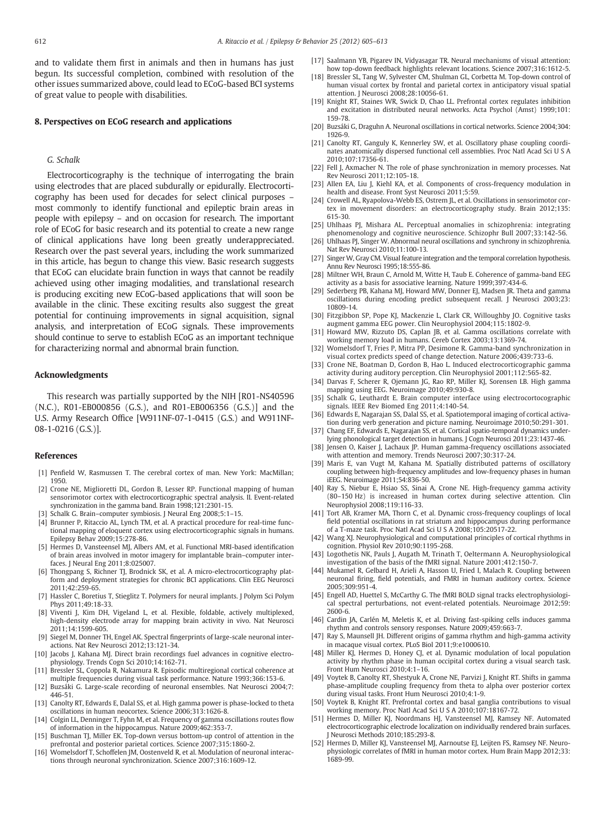and to validate them first in animals and then in humans has just begun. Its successful completion, combined with resolution of the other issues summarized above, could lead to ECoG-based BCI systems of great value to people with disabilities.

#### 8. Perspectives on ECoG research and applications

#### G. Schalk

Electrocorticography is the technique of interrogating the brain using electrodes that are placed subdurally or epidurally. Electrocorticography has been used for decades for select clinical purposes – most commonly to identify functional and epileptic brain areas in people with epilepsy – and on occasion for research. The important role of ECoG for basic research and its potential to create a new range of clinical applications have long been greatly underappreciated. Research over the past several years, including the work summarized in this article, has begun to change this view. Basic research suggests that ECoG can elucidate brain function in ways that cannot be readily achieved using other imaging modalities, and translational research is producing exciting new ECoG-based applications that will soon be available in the clinic. These exciting results also suggest the great potential for continuing improvements in signal acquisition, signal analysis, and interpretation of ECoG signals. These improvements should continue to serve to establish ECoG as an important technique for characterizing normal and abnormal brain function.

#### Acknowledgments

This research was partially supported by the NIH [R01-NS40596 (N.C.), R01-EB000856 (G.S.), and R01-EB006356 (G.S.)] and the U.S. Army Research Office [W911NF-07-1-0415 (G.S.) and W911NF-08-1-0216 (G.S.)].

#### References

- [1] Penfield W, Rasmussen T. The cerebral cortex of man. New York: MacMillan; 1950.
- [2] Crone NE, Miglioretti DL, Gordon B, Lesser RP. Functional mapping of human sensorimotor cortex with electrocorticographic spectral analysis. II. Event-related synchronization in the gamma band. Brain 1998;121:2301-15.
- [3] Schalk G. Brain–computer symbiosis. J Neural Eng 2008;5:1–15.
- [4] Brunner P, Ritaccio AL, Lynch TM, et al. A practical procedure for real-time functional mapping of eloquent cortex using electrocorticographic signals in humans. Epilepsy Behav 2009;15:278-86.
- [5] Hermes D, Vansteensel MJ, Albers AM, et al. Functional MRI-based identification of brain areas involved in motor imagery for implantable brain–computer interfaces. J Neural Eng 2011;8:025007.
- [6] Thongpang S, Richner TJ, Brodnick SK, et al. A micro-electrocorticography platform and deployment strategies for chronic BCI applications. Clin EEG Neurosci 2011;42:259-65.
- [7] Hassler C, Boretius T, Stieglitz T. Polymers for neural implants. J Polym Sci Polym Phys 2011;49:18-33.
- [8] Viventi J, Kim DH, Vigeland L, et al. Flexible, foldable, actively multiplexed, high-density electrode array for mapping brain activity in vivo. Nat Neurosci 2011;14:1599-605.
- [9] Siegel M, Donner TH, Engel AK. Spectral fingerprints of large-scale neuronal interactions. Nat Rev Neurosci 2012;13:121-34.
- [10] Jacobs J, Kahana MJ. Direct brain recordings fuel advances in cognitive electrophysiology. Trends Cogn Sci 2010;14:162-71.
- [11] Bressler SL, Coppola R, Nakamura R. Episodic multiregional cortical coherence at multiple frequencies during visual task performance. Nature 1993;366:153-6.
- [12] Buzsáki G. Large-scale recording of neuronal ensembles. Nat Neurosci 2004;7: 446-51.
- [13] Canolty RT, Edwards E, Dalal SS, et al. High gamma power is phase-locked to theta oscillations in human neocortex. Science 2006;313:1626-8.
- [14] Colgin LL, Denninger T, Fyhn M, et al. Frequency of gamma oscillations routes flow of information in the hippocampus. Nature 2009;462:353-7.
- [15] Buschman TJ, Miller EK. Top-down versus bottom-up control of attention in the prefrontal and posterior parietal cortices. Science 2007;315:1860-2.
- [16] Womelsdorf T, Schoffelen JM, Oostenveld R, et al. Modulation of neuronal interactions through neuronal synchronization. Science 2007;316:1609-12.
- [17] Saalmann YB, Pigarev IN, Vidyasagar TR. Neural mechanisms of visual attention: how top-down feedback highlights relevant locations. Science 2007;316:1612-5.
- [18] Bressler SL, Tang W, Sylvester CM, Shulman GL, Corbetta M. Top-down control of human visual cortex by frontal and parietal cortex in anticipatory visual spatial attention. J Neurosci 2008;28:10056-61.
- [19] Knight RT, Staines WR, Swick D, Chao LL. Prefrontal cortex regulates inhibition and excitation in distributed neural networks. Acta Psychol (Amst) 1999;101: 159-78.
- [20] Buzsáki G, Draguhn A. Neuronal oscillations in cortical networks. Science 2004;304: 1926-9.
- [21] Canolty RT, Ganguly K, Kennerley SW, et al. Oscillatory phase coupling coordinates anatomically dispersed functional cell assemblies. Proc Natl Acad Sci U S A 2010;107:17356-61.
- [22] Fell J, Axmacher N. The role of phase synchronization in memory processes. Nat Rev Neurosci 2011;12:105-18.
- [23] Allen EA, Liu J, Kiehl KA, et al. Components of cross-frequency modulation in health and disease. Front Syst Neurosci 2011;5:59.
- [24] Crowell AL, Ryapolova-Webb ES, Ostrem JL, et al. Oscillations in sensorimotor cortex in movement disorders: an electrocorticography study. Brain 2012;135: 615-30.
- [25] Uhlhaas PJ, Mishara AL. Perceptual anomalies in schizophrenia: integrating phenomenology and cognitive neuroscience. Schizophr Bull 2007;33:142-56.
- [26] Uhlhaas PJ, Singer W. Abnormal neural oscillations and synchrony in schizophrenia. Nat Rev Neurosci 2010;11:100-13.
- [27] Singer W, Gray CM. Visual feature integration and the temporal correlation hypothesis. Annu Rev Neurosci 1995;18:555-86.
- [28] Miltner WH, Braun C, Arnold M, Witte H, Taub E. Coherence of gamma-band EEG activity as a basis for associative learning. Nature 1999;397:434-6.
- [29] Sederberg PB, Kahana MJ, Howard MW, Donner EJ, Madsen JR. Theta and gamma oscillations during encoding predict subsequent recall. J Neurosci 2003;23: 10809-14.
- [30] Fitzgibbon SP, Pope KJ, Mackenzie L, Clark CR, Willoughby JO. Cognitive tasks augment gamma EEG power. Clin Neurophysiol 2004;115:1802-9.
- [31] Howard MW, Rizzuto DS, Caplan JB, et al. Gamma oscillations correlate with working memory load in humans. Cereb Cortex 2003;13:1369-74.
- [32] Womelsdorf T, Fries P, Mitra PP, Desimone R. Gamma-band synchronization in visual cortex predicts speed of change detection. Nature 2006;439:733-6.
- [33] Crone NE, Boatman D, Gordon B, Hao L. Induced electrocorticographic gamma activity during auditory perception. Clin Neurophysiol 2001;112:565-82.
- [34] Darvas F, Scherer R, Ojemann JG, Rao RP, Miller KJ, Sorensen LB. High gamma mapping using EEG. Neuroimage 2010;49:930-8.
- [35] Schalk G, Leuthardt E. Brain computer interface using electrocortocographic signals. IEEE Rev Biomed Eng 2011;4:140-54.
- [36] Edwards E, Nagarajan SS, Dalal SS, et al. Spatiotemporal imaging of cortical activation during verb generation and picture naming. Neuroimage 2010;50:291-301.
- [37] Chang EF, Edwards E, Nagarajan SS, et al. Cortical spatio-temporal dynamics underlying phonological target detection in humans. J Cogn Neurosci 2011;23:1437-46.
- [38] Jensen O, Kaiser J, Lachaux JP. Human gamma-frequency oscillations associated with attention and memory. Trends Neurosci 2007;30:317-24.
- [39] Maris E, van Vugt M, Kahana M. Spatially distributed patterns of oscillatory coupling between high-frequency amplitudes and low-frequency phases in human iEEG. Neuroimage 2011;54:836-50.
- [40] Ray S, Niebur E, Hsiao SS, Sinai A, Crone NE. High-frequency gamma activity (80–150 Hz) is increased in human cortex during selective attention. Clin Neurophysiol 2008;119:116-33.
- [41] Tort AB, Kramer MA, Thorn C, et al. Dynamic cross-frequency couplings of local field potential oscillations in rat striatum and hippocampus during performance of a T-maze task. Proc Natl Acad Sci U S A 2008;105:20517-22.
- [42] Wang XJ. Neurophysiological and computational principles of cortical rhythms in cognition. Physiol Rev 2010;90:1195-268.
- [43] Logothetis NK, Pauls J, Augath M, Trinath T, Oeltermann A. Neurophysiological investigation of the basis of the fMRI signal. Nature 2001;412:150-7.
- [44] Mukamel R, Gelbard H, Arieli A, Hasson U, Fried I, Malach R. Coupling between neuronal firing, field potentials, and FMRI in human auditory cortex. Science 2005;309:951-4.
- [45] Engell AD, Huettel S, McCarthy G. The fMRI BOLD signal tracks electrophysiological spectral perturbations, not event-related potentials. Neuroimage 2012;59: 2600-6.
- [46] Cardin JA, Carlén M, Meletis K, et al. Driving fast-spiking cells induces gamma rhythm and controls sensory responses. Nature 2009;459:663-7.
- [47] Ray S, Maunsell JH. Different origins of gamma rhythm and high-gamma activity in macaque visual cortex. PLoS Biol 2011;9:e1000610.
- [48] Miller KI, Hermes D, Honey CJ, et al. Dynamic modulation of local population activity by rhythm phase in human occipital cortex during a visual search task. Front Hum Neurosci 2010;4:1–16.
- [49] Voytek B, Canolty RT, Shestyuk A, Crone NE, Parvizi J, Knight RT, Shifts in gamma phase-amplitude coupling frequency from theta to alpha over posterior cortex during visual tasks. Front Hum Neurosci 2010;4:1-9.
- [50] Voytek B, Knight RT. Prefrontal cortex and basal ganglia contributions to visual working memory. Proc Natl Acad Sci U S A 2010;107:18167-72.
- [51] Hermes D, Miller KJ, Noordmans HJ, Vansteensel MJ, Ramsey NF, Automated electrocorticographic electrode localization on individually rendered brain surfaces. J Neurosci Methods 2010;185:293-8.
- [52] Hermes D, Miller KJ, Vansteensel MJ, Aarnoutse EJ, Leijten FS, Ramsey NF. Neurophysiologic correlates of fMRI in human motor cortex. Hum Brain Mapp 2012;33: 1689-99.